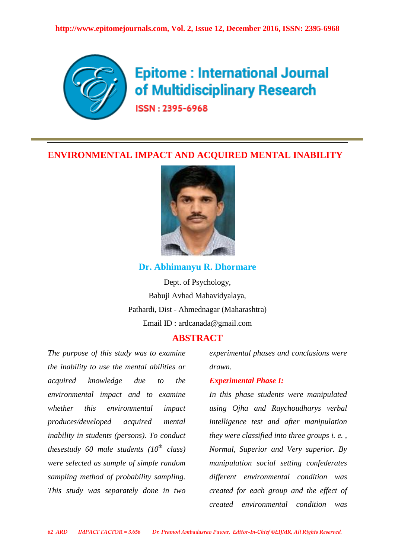

# **Epitome: International Journal** of Multidisciplinary Research

ISSN: 2395-6968

# **ENVIRONMENTAL IMPACT AND ACQUIRED MENTAL INABILITY**



## **Dr. Abhimanyu R. Dhormare**

Dept. of Psychology, Babuji Avhad Mahavidyalaya, Pathardi, Dist - Ahmednagar (Maharashtra) Email ID : ardcanada@gmail.com

# **ABSTRACT**

*The purpose of this study was to examine the inability to use the mental abilities or acquired knowledge due to the environmental impact and to examine whether this environmental impact produces/developed acquired mental inability in students (persons). To conduct thesestudy 60 male students (10th class) were selected as sample of simple random sampling method of probability sampling. This study was separately done in two*

*experimental phases and conclusions were drawn.* 

## *Experimental Phase I:*

*In this phase students were manipulated using Ojha and Raychoudharys verbal intelligence test and after manipulation they were classified into three groups i. e. , Normal, Superior and Very superior. By manipulation social setting confederates different environmental condition was created for each group and the effect of created environmental condition was*